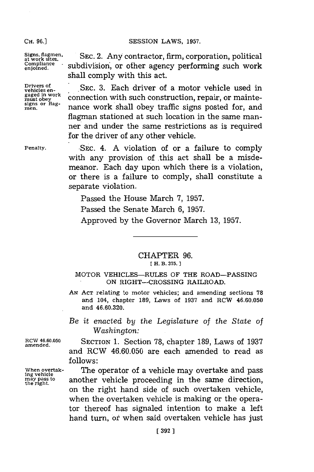## **SESSION** LAWS, **1957.**

**CH. 96.]**

 $Signs, flagmen,$ **Compliance enjoined.**

**Drivers of vehicles en- gaged in work must obey**<br>**signs** or flag-<br>men.

**Penalty.**

**SEC.** 2. Any contractor, firm, corporation, political subdivision, or other agency performing such work shall comply with this act.

**SEC. 3.** Each driver of a motor vehicle used in connection with such construction, repair, or maintenance work shall obey traffic signs posted for, and flagman stationed at such location in the same manner and under the same restrictions as is required for the driver of any other vehicle.

**SEC.** 4. **A** violation of or a failure to comply with any provision of this act shall be a misdemeanor. Each day upon which there is a violation, or there is a failure to comply, shall constitute a separate violation.

Passed the House March **7, 1957.** Passed the Senate March **6, 1957.** Approved **by** the Governor March **13, 1957.**

## CHAPTER **96. EI H. B. 375. 1**

## MOTOR **VEHICLES-RULES** OF THE ROAD-PASSING **ON** RIGHT-CROSSING RAILROAD.

- AN ACT relating to motor vehicles; and amending sections 78 and 104, chapter **189,** Laws of **1937** and RCW **46.60.050** and **46.60.320.**
- *Be it enacted by* the *Legislature of the State of Washington:*

*RCWV* **46.60.050** SECTION **1.** Section **78,** chapter **189,** Laws of **<sup>1937</sup> amended.** and RCW **46.60.050** are each amended to read as **follows:**

When overtak- The operator of a vehicle may overtake and pass<br>
may penicle<br>
the right.<br> **in** and the right. another vehicle proceeding in the same direction, on the right hand side of such overtaken vehicle, when the overtaken vehicle is making or the operator thereof has signaled intention to make a left hand turn, of when said overtaken vehicle has just